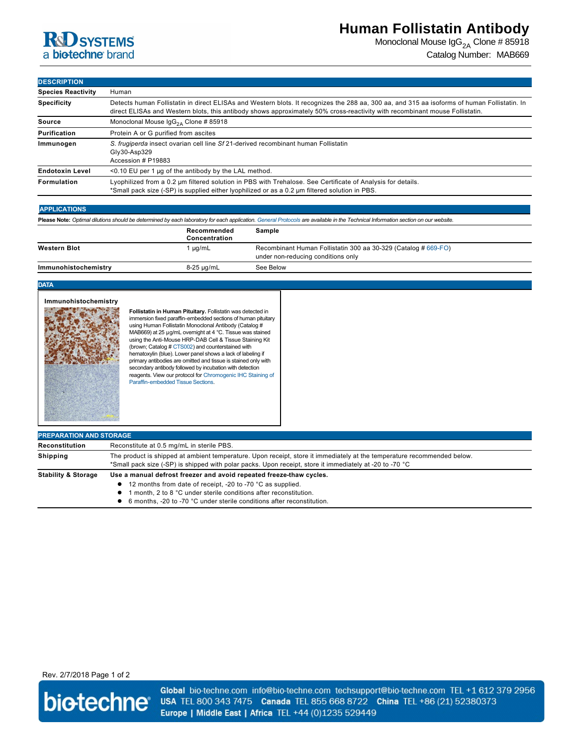

Monoclonal Mouse  $\lg G_{2A}$  Clone # 85918 Catalog Number: MAB669

### **DESCRIPTION**

| <b>Species Reactivity</b> | Human                                                                                                                                                                                                                                                                       |  |  |
|---------------------------|-----------------------------------------------------------------------------------------------------------------------------------------------------------------------------------------------------------------------------------------------------------------------------|--|--|
| <b>Specificity</b>        | Detects human Follistatin in direct ELISAs and Western blots. It recognizes the 288 aa, 300 aa, and 315 aa isoforms of human Follistatin. In<br>direct ELISAs and Western blots, this antibody shows approximately 50% cross-reactivity with recombinant mouse Follistatin. |  |  |
| Source                    | Monoclonal Mouse $\text{lg}G_{24}$ Clone # 85918                                                                                                                                                                                                                            |  |  |
| Purification              | Protein A or G purified from ascites                                                                                                                                                                                                                                        |  |  |
| Immunogen                 | S. frugiperda insect ovarian cell line Sf 21-derived recombinant human Follistatin<br>$Gly30-Asp329$<br>Accession # P19883                                                                                                                                                  |  |  |
| <b>Endotoxin Level</b>    | <0.10 EU per 1 µg of the antibody by the LAL method.                                                                                                                                                                                                                        |  |  |
| Formulation               | Lyophilized from a 0.2 um filtered solution in PBS with Trehalose. See Certificate of Analysis for details.<br>*Small pack size (-SP) is supplied either lyophilized or as a 0.2 µm filtered solution in PBS.                                                               |  |  |

### **APPLICATIONS**

| Please Note: Optimal dilutions should be determined by each laboratory for each application. General Protocols are available in the Technical Information section on our website. |                              |                                                                                                      |  |  |
|-----------------------------------------------------------------------------------------------------------------------------------------------------------------------------------|------------------------------|------------------------------------------------------------------------------------------------------|--|--|
|                                                                                                                                                                                   | Recommended<br>Concentration | Sample                                                                                               |  |  |
| <b>Western Blot</b>                                                                                                                                                               | µg/mL                        | Recombinant Human Follistatin 300 aa 30-329 (Catalog # 669-FO)<br>under non-reducing conditions only |  |  |
| Immunohistochemistry                                                                                                                                                              | 8-25 µg/mL                   | See Below                                                                                            |  |  |

**DATA**



**Follistatin in Human Pituitary.** Follistatin was detected in in uncommunity in the paraffin-embedded sections of human pituitary using Human Follistatin Monoclonal Antibody (Catalog # MAB669) at 25 µg/mL overnight at 4 °C. Tissue was stained using the Anti-Mouse HRP-DAB Cell & Tissue Staining Kit (brown; Catalog # [CTS002\)](http://www.rndsystems.com/search?keywords=CTS002) and counterstained with hematoxylin (blue). Lower panel shows a lack of labeling if primary antibodies are omitted and tissue is stained only with secondary antibody followed by incubation with detection [reagents. View our protocol for Chromogenic IHC Staining of](http://www.rndsystems.com/resources/protocols/protocol-preparation-and-chromogenic-ihc-staining-paraffin-embedded-tissue)  Paraffin-embedded Tissue Sections.

| <b>PREPARATION AND STORAGE</b> |                                                                                                                                                                                                                                                                                    |  |  |
|--------------------------------|------------------------------------------------------------------------------------------------------------------------------------------------------------------------------------------------------------------------------------------------------------------------------------|--|--|
| Reconstitution                 | Reconstitute at 0.5 mg/mL in sterile PBS.                                                                                                                                                                                                                                          |  |  |
| <b>Shipping</b>                | The product is shipped at ambient temperature. Upon receipt, store it immediately at the temperature recommended below.<br>*Small pack size (-SP) is shipped with polar packs. Upon receipt, store it immediately at -20 to -70 °C                                                 |  |  |
| <b>Stability &amp; Storage</b> | Use a manual defrost freezer and avoid repeated freeze-thaw cycles.<br>• 12 months from date of receipt, -20 to -70 °C as supplied.<br>month. 2 to 8 °C under sterile conditions after reconstitution.<br>• 6 months. -20 to -70 °C under sterile conditions after reconstitution. |  |  |

## Rev. 2/7/2018 Page 1 of 2



Global bio-techne.com info@bio-techne.com techsupport@bio-techne.com TEL +1 612 379 2956 USA TEL 800 343 7475 Canada TEL 855 668 8722 China TEL +86 (21) 52380373 Europe | Middle East | Africa TEL +44 (0)1235 529449